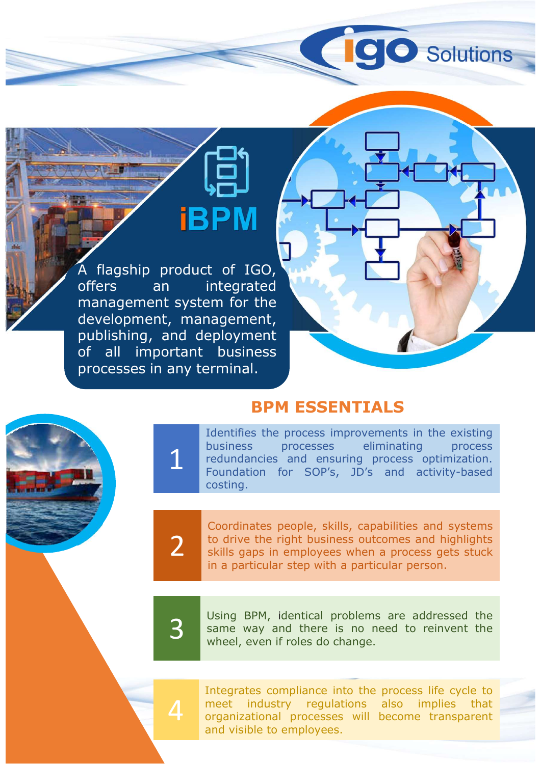A flagship product of IGO,<br>The product of IGO,<br>The product of IGO,<br>The and integrated management system for the EDM<br>
A flagship product of IGO<br>
offers an integrated<br>
development system for the<br>
publishing, and deployment A flagship product of IGO,<br>A flagship product of IGO,<br>offers an integrated management system for the<br>development, management,<br>problishing, and deployment<br>of all important business A flagship product of IGO,<br>A flagship product of IGO,<br>offers an integrated<br>management system for the<br>development, management,<br>publishing, and deployment<br>of all important business<br>processes in any terminal. **PUBLIC SEARCH CONTROLLER CONTROLLER CONTROLLER CONTROLLER CONTROLLER CONTROLLER CONTROLLER CONTROLLER CONTROLLER CONTROLLER CONTROLLER CONTROLLER CONTROLLER CONTROLLER CONTROLLER CONTROLLER CONTROLLER CONTROLLER CONTROLLE EDM SERVITALS**<br>
A flagship product of IGO,<br>
offers an integrated<br>
management system for the<br>
development, management,<br>
publishing, and deployment<br>
of all important business<br>
processes in any terminal. **EXAMPLE CONCRETE SPACE OF A SEARCH A Flagship product of IGO.**<br>
Offers an integrated<br>
management system for the<br>
development, management,<br>
publishing, and deployment<br>
processes in any terminal.<br> **BPM ESSENTIALS** 

## BPM ESSENTIALS

**IDENTIFIES**<br>
Integrated<br>
Integrated<br>
Integrated<br>
Integrated<br>
Integrated<br>
Integrated<br>
Integrated<br>
Integrated<br>
Integrated<br>
Integration<br>
Integrated<br>
Integration<br>
Integration<br>
Integration<br>
Integration<br>
Integration<br>
Integratio **business**<br> **business**<br> **business**<br> **business**<br> **business**<br> **business**<br> **business**<br> **business**<br> **business**<br> **business**<br> **business**<br> **business**<br> **business**<br> **business**<br> **dentifies the processes eliminating** process<br> **elimin** reduced and for the transmission of the distributions of the distributions of the angement, epiloyment business process and ensuring business processes eliminating process redundancies and ensuring process redundation. Fou Foundation for Sophian Control of Sophian Control of Sophian Control of Sophian Control of Sophian Control of Sophian Control of Sophian Control of Sophian Control of Sophian Control of Sophian Control of Sophian Control o costing. de during to business processes eliminating process<br>
1 redundancies and ensuring process optimization.<br>
1 Foundation for SOP's, JD's and activity-based **COORTAGE SET ASSENTIALS**<br> **COORTAGE SET ASSENTIALS**<br> **COORTAGE SET ASSENTIALS**<br>
Identifies the processes eliminating process<br>
redundancies and ensuring process optimization.<br>
Foundation for SOP's, JD's and activity-based<br> Find the sum of the reader the reader of the reader thusiness<br>
terminal.<br> **SPM ESSENTIALS**<br>
Identifies the process eliminating process becomedinations and ensuring process optimization.<br>
Foundation for SOP's, JD's and acti **Share in the SSENTIALS**<br> **SPM ESSENTIALS**<br>
Identifies the process improvements in the existing<br>
business processes eliminating process<br>
Foundation for SOP's, JD's and activity-based<br>
costing.<br>
Coordinates people, skills, **EXEMITIALS**<br> **EXEMITIALS**<br> **EXEMITIALS**<br> **EXEMITIALS**<br> **EXEMITIALS**<br> **EXEMITIALS**<br> **EXEMITIALS**<br> **EXEMITIALS**<br> **EXEMITIALS**<br> **EXEMITIALS**<br> **EXEMITIALS**<br> **EXEMITIALS**<br> **EXEMITIALS**<br> **EXEMITIALS**<br> **EXEMITIALS**<br> **EXEMITIALS BPM ESSENTIALS**<br>
Identifies the process improvements in the existing<br>
business processes eliminating process<br>
redundancies and ensuring process optimization.<br>
Foundation for SOP's, JD's and activity-based<br>
costing.<br>
Coord **SHENTIALS**<br>
Identifies the processes eliminating process<br>
redundancies and ensuring process optimization.<br>
Foundation for SOP's, JD's and activity-based<br>
costing.<br>
<br>
Coordinates people, skills, capabilities and systems<br>
t

2 to drive the right business outcomes and highlights<br>skills gaps in employees when a process gets stuck<br>in a particular step with a particular person. redundancies and ensuring process optimization.<br>Foundation for SOP's, JD's and activity-based<br>costing.<br>Coordinates people, skills, capabilities and systems<br>to drive the right business outcomes and highlights<br>skills gaps in Foundation for SOP's, JD's and activity-based<br>Foundation for SOP's, JD's and activity-based<br>costing.<br>Coordinates people, skills, capabilities and systems<br>to drive the right business outcomes and highlights<br>skills gaps in e Fouriand Form Society Justice and Systems<br>to drive the right business outcomes and highlights<br>skills gaps in employees when a process gets stuck<br>in a particular step with a particular person.<br>Using BPM, identical problems Coordinates people, skills, capabilities and systems<br>to drive the right business outcomes and highlights<br>skills gaps in employees when a process gets stuck<br>in a particular step with a particular person.<br>Using BPM, identica

meet industry regulations also implies that<br>organizational processes will become transparent<br>and visible to employees.